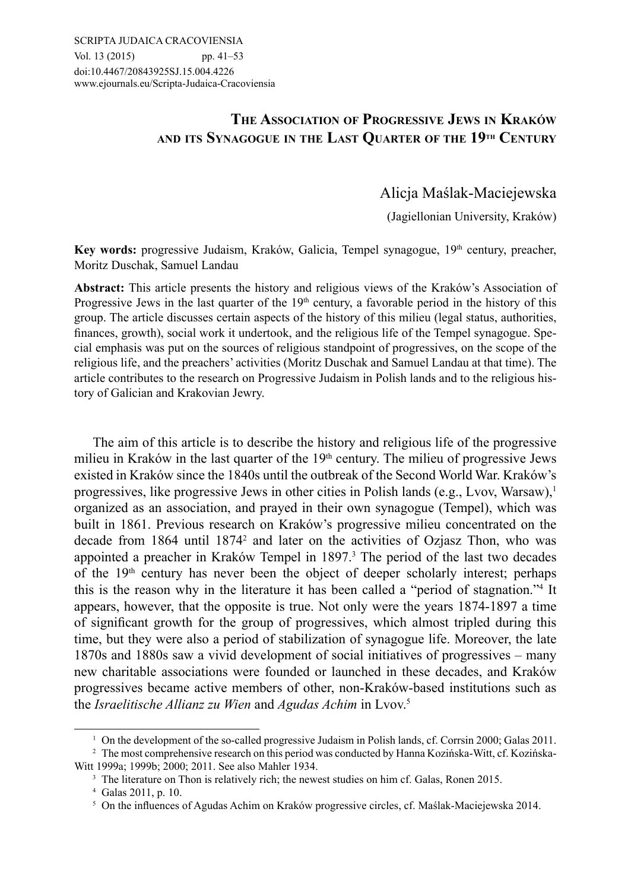# **The Association of Progressive Jews in Kraków and its Synagogue in the Last Quarter of the 19th Century**

Alicja Maślak-Maciejewska

(Jagiellonian University, Kraków)

Key words: progressive Judaism, Kraków, Galicia, Tempel synagogue, 19<sup>th</sup> century, preacher, Moritz Duschak, Samuel Landau

**Abstract:** This article presents the history and religious views of the Kraków's Association of Progressive Jews in the last quarter of the  $19<sup>th</sup>$  century, a favorable period in the history of this group. The article discusses certain aspects of the history of this milieu (legal status, authorities, finances, growth), social work it undertook, and the religious life of the Tempel synagogue. Special emphasis was put on the sources of religious standpoint of progressives, on the scope of the religious life, and the preachers' activities (Moritz Duschak and Samuel Landau at that time). The article contributes to the research on Progressive Judaism in Polish lands and to the religious history of Galician and Krakovian Jewry.

The aim of this article is to describe the history and religious life of the progressive milieu in Kraków in the last quarter of the  $19<sup>th</sup>$  century. The milieu of progressive Jews existed in Kraków since the 1840s until the outbreak of the Second World War. Kraków's progressives, like progressive Jews in other cities in Polish lands (e.g., Lvov, Warsaw).<sup>1</sup> organized as an association, and prayed in their own synagogue (Tempel), which was built in 1861. Previous research on Kraków's progressive milieu concentrated on the decade from 1864 until 18742 and later on the activities of Ozjasz Thon, who was appointed a preacher in Kraków Tempel in 1897.<sup>3</sup> The period of the last two decades of the  $19<sup>th</sup>$  century has never been the object of deeper scholarly interest; perhaps this is the reason why in the literature it has been called a "period of stagnation."4 It appears, however, that the opposite is true. Not only were the years 1874-1897 a time of significant growth for the group of progressives, which almost tripled during this time, but they were also a period of stabilization of synagogue life. Moreover, the late 1870s and 1880s saw a vivid development of social initiatives of progressives – many new charitable associations were founded or launched in these decades, and Kraków progressives became active members of other, non-Kraków-based institutions such as the *Israelitische Allianz zu Wien* and *Agudas Achim* in Lvov.<sup>5</sup>

<sup>&</sup>lt;sup>1</sup> On the development of the so-called progressive Judaism in Polish lands, cf. Corrsin 2000; Galas 2011.

<sup>2</sup> The most comprehensive research on this period was conducted by Hanna Kozińska-Witt, cf. Kozińska-Witt 1999a; 1999b; 2000; 2011. See also Mahler 1934.

<sup>&</sup>lt;sup>3</sup> The literature on Thon is relatively rich; the newest studies on him cf. Galas, Ronen 2015.

<sup>4</sup> Galas 2011, p. 10.

<sup>5</sup> On the influences of Agudas Achim on Kraków progressive circles, cf. Maślak-Maciejewska 2014.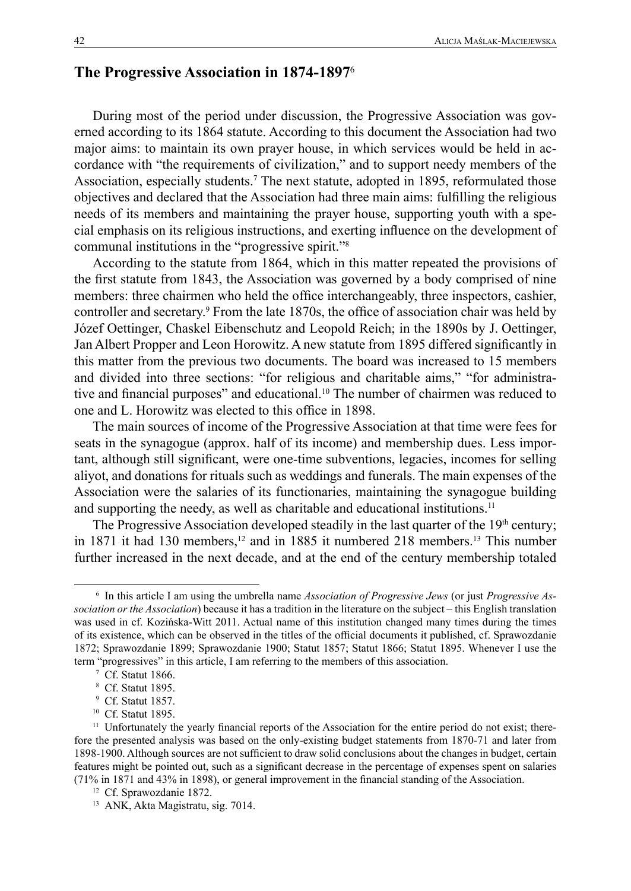# **The Progressive Association in 1874-1897**<sup>6</sup>

During most of the period under discussion, the Progressive Association was governed according to its 1864 statute. According to this document the Association had two major aims: to maintain its own prayer house, in which services would be held in accordance with "the requirements of civilization," and to support needy members of the Association, especially students.<sup>7</sup> The next statute, adopted in 1895, reformulated those objectives and declared that the Association had three main aims: fulfilling the religious needs of its members and maintaining the prayer house, supporting youth with a special emphasis on its religious instructions, and exerting influence on the development of communal institutions in the "progressive spirit."8

According to the statute from 1864, which in this matter repeated the provisions of the first statute from 1843, the Association was governed by a body comprised of nine members: three chairmen who held the office interchangeably, three inspectors, cashier, controller and secretary.9 From the late 1870s, the office of association chair was held by Józef Oettinger, Chaskel Eibenschutz and Leopold Reich; in the 1890s by J. Oettinger, Jan Albert Propper and Leon Horowitz. A new statute from 1895 differed significantly in this matter from the previous two documents. The board was increased to 15 members and divided into three sections: "for religious and charitable aims," "for administrative and financial purposes" and educational.10 The number of chairmen was reduced to one and L. Horowitz was elected to this office in 1898.

The main sources of income of the Progressive Association at that time were fees for seats in the synagogue (approx. half of its income) and membership dues. Less important, although still significant, were one-time subventions, legacies, incomes for selling aliyot, and donations for rituals such as weddings and funerals. The main expenses of the Association were the salaries of its functionaries, maintaining the synagogue building and supporting the needy, as well as charitable and educational institutions.<sup>11</sup>

The Progressive Association developed steadily in the last quarter of the  $19<sup>th</sup>$  century; in  $1871$  it had  $130$  members,<sup>12</sup> and in  $1885$  it numbered  $218$  members.<sup>13</sup> This number further increased in the next decade, and at the end of the century membership totaled

<sup>6</sup> In this article I am using the umbrella name *Association of Progressive Jews* (or just *Progressive Association or the Association*) because it has a tradition in the literature on the subject – this English translation was used in cf. Kozińska-Witt 2011. Actual name of this institution changed many times during the times of its existence, which can be observed in the titles of the official documents it published, cf. Sprawozdanie 1872; Sprawozdanie 1899; Sprawozdanie 1900; Statut 1857; Statut 1866; Statut 1895. Whenever I use the term "progressives" in this article, I am referring to the members of this association.

<sup>7</sup> Cf. Statut 1866.

<sup>8</sup> Cf. Statut 1895.

<sup>9</sup> Cf. Statut 1857.

<sup>10</sup> Cf. Statut 1895.

<sup>&</sup>lt;sup>11</sup> Unfortunately the yearly financial reports of the Association for the entire period do not exist; therefore the presented analysis was based on the only-existing budget statements from 1870-71 and later from 1898-1900. Although sources are not sufficient to draw solid conclusions about the changes in budget, certain features might be pointed out, such as a significant decrease in the percentage of expenses spent on salaries (71% in 1871 and 43% in 1898), or general improvement in the financial standing of the Association.

<sup>&</sup>lt;sup>12</sup> Cf. Sprawozdanie 1872.

<sup>13</sup> ANK, Akta Magistratu, sig. 7014.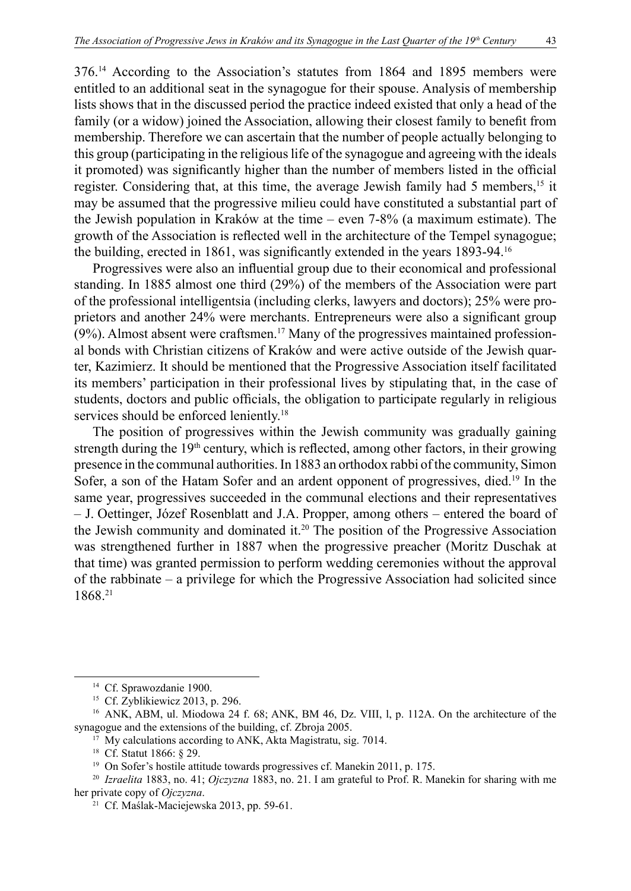376.14 According to the Association's statutes from 1864 and 1895 members were entitled to an additional seat in the synagogue for their spouse. Analysis of membership lists shows that in the discussed period the practice indeed existed that only a head of the family (or a widow) joined the Association, allowing their closest family to benefit from membership. Therefore we can ascertain that the number of people actually belonging to this group (participating in the religious life of the synagogue and agreeing with the ideals it promoted) was significantly higher than the number of members listed in the official register. Considering that, at this time, the average Jewish family had 5 members,<sup>15</sup> it may be assumed that the progressive milieu could have constituted a substantial part of the Jewish population in Kraków at the time – even 7-8% (a maximum estimate). The growth of the Association is reflected well in the architecture of the Tempel synagogue; the building, erected in 1861, was significantly extended in the years 1893-94.<sup>16</sup>

Progressives were also an influential group due to their economical and professional standing. In 1885 almost one third (29%) of the members of the Association were part of the professional intelligentsia (including clerks, lawyers and doctors); 25% were proprietors and another 24% were merchants. Entrepreneurs were also a significant group  $(9\%)$ . Almost absent were craftsmen.<sup>17</sup> Many of the progressives maintained professional bonds with Christian citizens of Kraków and were active outside of the Jewish quarter, Kazimierz. It should be mentioned that the Progressive Association itself facilitated its members' participation in their professional lives by stipulating that, in the case of students, doctors and public officials, the obligation to participate regularly in religious services should be enforced leniently.<sup>18</sup>

The position of progressives within the Jewish community was gradually gaining strength during the 19<sup>th</sup> century, which is reflected, among other factors, in their growing presence in the communal authorities. In 1883 an orthodox rabbi of the community, Simon Sofer, a son of the Hatam Sofer and an ardent opponent of progressives, died.<sup>19</sup> In the same year, progressives succeeded in the communal elections and their representatives – J. Oettinger, Józef Rosenblatt and J.A. Propper, among others – entered the board of the Jewish community and dominated it.20 The position of the Progressive Association was strengthened further in 1887 when the progressive preacher (Moritz Duschak at that time) was granted permission to perform wedding ceremonies without the approval of the rabbinate – a privilege for which the Progressive Association had solicited since 1868.21

<sup>&</sup>lt;sup>14</sup> Cf. Sprawozdanie 1900.

<sup>15</sup> Cf. Zyblikiewicz 2013, p. 296.

<sup>&</sup>lt;sup>16</sup> ANK, ABM, ul. Miodowa 24 f. 68; ANK, BM 46, Dz. VIII, l, p. 112A. On the architecture of the synagogue and the extensions of the building, cf. Zbroja 2005.

<sup>&</sup>lt;sup>17</sup> My calculations according to ANK, Akta Magistratu, sig. 7014.

<sup>&</sup>lt;sup>18</sup> Cf. Statut 1866: § 29.

<sup>&</sup>lt;sup>19</sup> On Sofer's hostile attitude towards progressives cf. Manekin 2011, p. 175.

<sup>20</sup> *Izraelita* 1883, no. 41; *Ojczyzna* 1883, no. 21. I am grateful to Prof. R. Manekin for sharing with me her private copy of *Ojczyzna*.

<sup>21</sup> Cf. Maślak-Maciejewska 2013, pp. 59-61.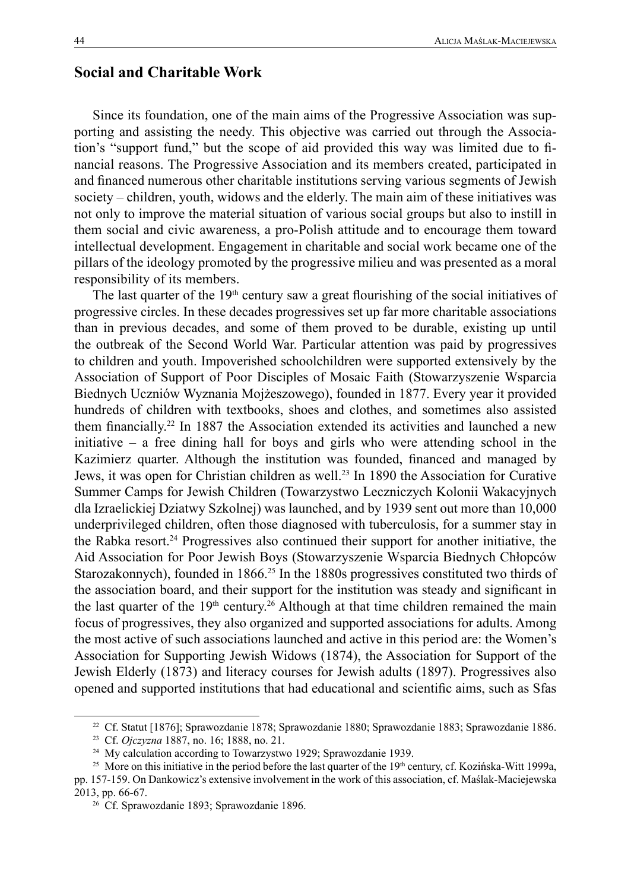## **Social and Charitable Work**

Since its foundation, one of the main aims of the Progressive Association was supporting and assisting the needy. This objective was carried out through the Association's "support fund," but the scope of aid provided this way was limited due to financial reasons. The Progressive Association and its members created, participated in and financed numerous other charitable institutions serving various segments of Jewish society – children, youth, widows and the elderly. The main aim of these initiatives was not only to improve the material situation of various social groups but also to instill in them social and civic awareness, a pro-Polish attitude and to encourage them toward intellectual development. Engagement in charitable and social work became one of the pillars of the ideology promoted by the progressive milieu and was presented as a moral responsibility of its members.

The last quarter of the  $19<sup>th</sup>$  century saw a great flourishing of the social initiatives of progressive circles. In these decades progressives set up far more charitable associations than in previous decades, and some of them proved to be durable, existing up until the outbreak of the Second World War. Particular attention was paid by progressives to children and youth. Impoverished schoolchildren were supported extensively by the Association of Support of Poor Disciples of Mosaic Faith (Stowarzyszenie Wsparcia Biednych Uczniów Wyznania Mojżeszowego), founded in 1877. Every year it provided hundreds of children with textbooks, shoes and clothes, and sometimes also assisted them financially.22 In 1887 the Association extended its activities and launched a new initiative – a free dining hall for boys and girls who were attending school in the Kazimierz quarter. Although the institution was founded, financed and managed by Jews, it was open for Christian children as well.<sup>23</sup> In 1890 the Association for Curative Summer Camps for Jewish Children (Towarzystwo Leczniczych Kolonii Wakacyjnych dla Izraelickiej Dziatwy Szkolnej) was launched, and by 1939 sent out more than 10,000 underprivileged children, often those diagnosed with tuberculosis, for a summer stay in the Rabka resort.24 Progressives also continued their support for another initiative, the Aid Association for Poor Jewish Boys (Stowarzyszenie Wsparcia Biednych Chłopców Starozakonnych), founded in 1866.<sup>25</sup> In the 1880s progressives constituted two thirds of the association board, and their support for the institution was steady and significant in the last quarter of the  $19<sup>th</sup>$  century.<sup>26</sup> Although at that time children remained the main focus of progressives, they also organized and supported associations for adults. Among the most active of such associations launched and active in this period are: the Women's Association for Supporting Jewish Widows (1874), the Association for Support of the Jewish Elderly (1873) and literacy courses for Jewish adults (1897). Progressives also opened and supported institutions that had educational and scientific aims, such as Sfas

<sup>22</sup> Cf. Statut [1876]; Sprawozdanie 1878; Sprawozdanie 1880; Sprawozdanie 1883; Sprawozdanie 1886.

<sup>23</sup> Cf. *Ojczyzna* 1887, no. 16; 1888, no. 21.

<sup>&</sup>lt;sup>24</sup> My calculation according to Towarzystwo 1929; Sprawozdanie 1939.

<sup>&</sup>lt;sup>25</sup> More on this initiative in the period before the last quarter of the 19<sup>th</sup> century, cf. Kozińska-Witt 1999a,

pp. 157-159. On Dankowicz's extensive involvement in the work of this association, cf. Maślak-Maciejewska 2013, pp. 66-67.

<sup>26</sup> Cf. Sprawozdanie 1893; Sprawozdanie 1896.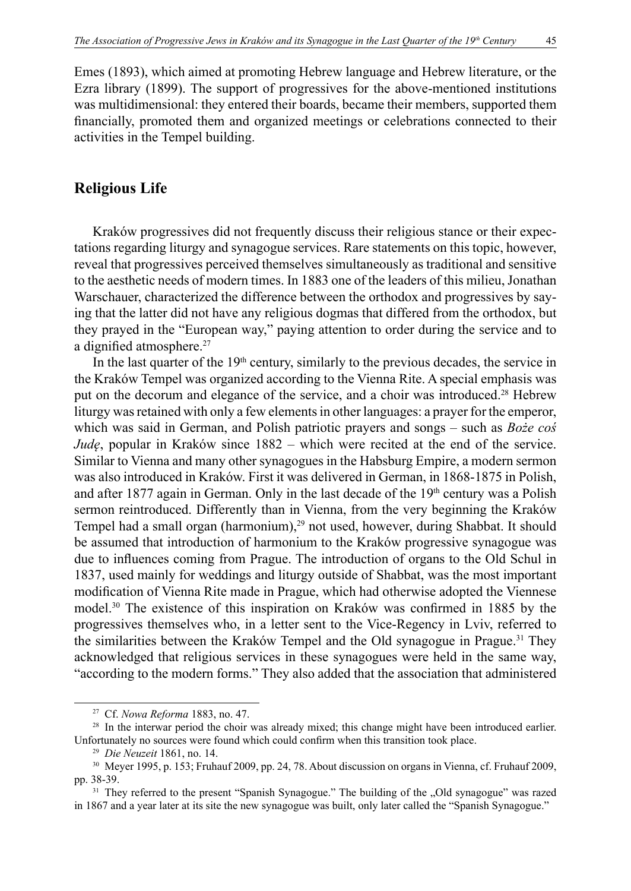Emes (1893), which aimed at promoting Hebrew language and Hebrew literature, or the Ezra library (1899). The support of progressives for the above-mentioned institutions was multidimensional: they entered their boards, became their members, supported them financially, promoted them and organized meetings or celebrations connected to their activities in the Tempel building.

### **Religious Life**

Kraków progressives did not frequently discuss their religious stance or their expectations regarding liturgy and synagogue services. Rare statements on this topic, however, reveal that progressives perceived themselves simultaneously as traditional and sensitive to the aesthetic needs of modern times. In 1883 one of the leaders of this milieu, Jonathan Warschauer, characterized the difference between the orthodox and progressives by saying that the latter did not have any religious dogmas that differed from the orthodox, but they prayed in the "European way," paying attention to order during the service and to a dignified atmosphere.<sup>27</sup>

In the last quarter of the  $19<sup>th</sup>$  century, similarly to the previous decades, the service in the Kraków Tempel was organized according to the Vienna Rite. A special emphasis was put on the decorum and elegance of the service, and a choir was introduced.28 Hebrew liturgy was retained with only a few elements in other languages: a prayer for the emperor, which was said in German, and Polish patriotic prayers and songs – such as *Boże coś Judę*, popular in Kraków since 1882 – which were recited at the end of the service. Similar to Vienna and many other synagogues in the Habsburg Empire, a modern sermon was also introduced in Kraków. First it was delivered in German, in 1868-1875 in Polish, and after 1877 again in German. Only in the last decade of the  $19<sup>th</sup>$  century was a Polish sermon reintroduced. Differently than in Vienna, from the very beginning the Kraków Tempel had a small organ (harmonium),<sup>29</sup> not used, however, during Shabbat. It should be assumed that introduction of harmonium to the Kraków progressive synagogue was due to influences coming from Prague. The introduction of organs to the Old Schul in 1837, used mainly for weddings and liturgy outside of Shabbat, was the most important modification of Vienna Rite made in Prague, which had otherwise adopted the Viennese model.30 The existence of this inspiration on Kraków was confirmed in 1885 by the progressives themselves who, in a letter sent to the Vice-Regency in Lviv, referred to the similarities between the Kraków Tempel and the Old synagogue in Prague.31 They acknowledged that religious services in these synagogues were held in the same way, "according to the modern forms." They also added that the association that administered

<sup>27</sup> Cf. *Nowa Reforma* 1883, no. 47.

<sup>&</sup>lt;sup>28</sup> In the interwar period the choir was already mixed; this change might have been introduced earlier. Unfortunately no sources were found which could confirm when this transition took place.

<sup>29</sup> *Die Neuzeit* 1861, no. 14.

<sup>30</sup> Meyer 1995, p. 153; Fruhauf 2009, pp. 24, 78. About discussion on organs in Vienna, cf. Fruhauf 2009, pp. 38-39.

<sup>&</sup>lt;sup>31</sup> They referred to the present "Spanish Synagogue." The building of the "Old synagogue" was razed in 1867 and a year later at its site the new synagogue was built, only later called the "Spanish Synagogue."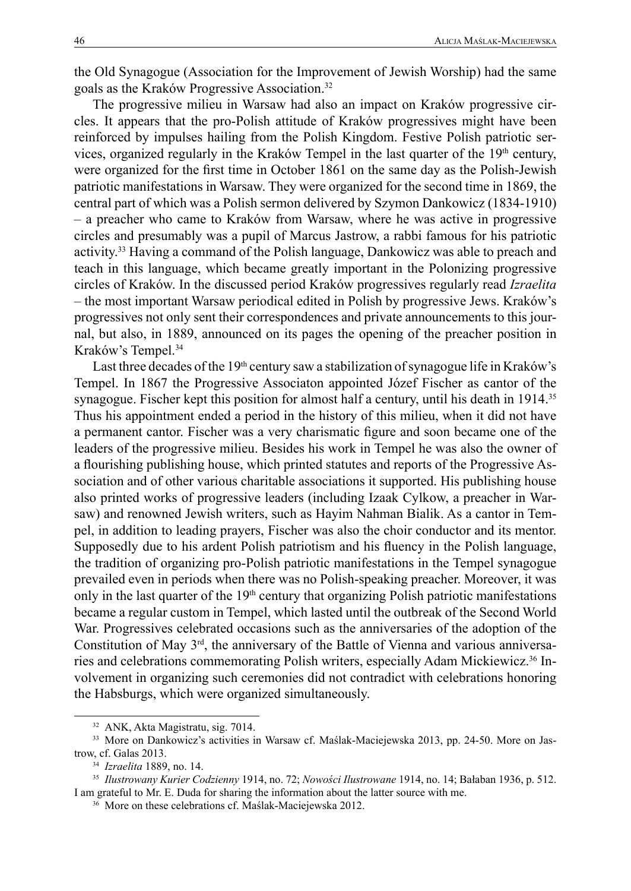the Old Synagogue (Association for the Improvement of Jewish Worship) had the same goals as the Kraków Progressive Association.<sup>32</sup>

The progressive milieu in Warsaw had also an impact on Kraków progressive circles. It appears that the pro-Polish attitude of Kraków progressives might have been reinforced by impulses hailing from the Polish Kingdom. Festive Polish patriotic services, organized regularly in the Kraków Tempel in the last quarter of the 19<sup>th</sup> century, were organized for the first time in October 1861 on the same day as the Polish-Jewish patriotic manifestations in Warsaw. They were organized for the second time in 1869, the central part of which was a Polish sermon delivered by Szymon Dankowicz (1834-1910) – a preacher who came to Kraków from Warsaw, where he was active in progressive circles and presumably was a pupil of Marcus Jastrow, a rabbi famous for his patriotic activity.33 Having a command of the Polish language, Dankowicz was able to preach and teach in this language, which became greatly important in the Polonizing progressive circles of Kraków. In the discussed period Kraków progressives regularly read *Izraelita* – the most important Warsaw periodical edited in Polish by progressive Jews. Kraków's progressives not only sent their correspondences and private announcements to this journal, but also, in 1889, announced on its pages the opening of the preacher position in Kraków's Tempel.<sup>34</sup>

Last three decades of the 19<sup>th</sup> century saw a stabilization of synagogue life in Kraków's Tempel. In 1867 the Progressive Associaton appointed Józef Fischer as cantor of the synagogue. Fischer kept this position for almost half a century, until his death in 1914.<sup>35</sup> Thus his appointment ended a period in the history of this milieu, when it did not have a permanent cantor. Fischer was a very charismatic figure and soon became one of the leaders of the progressive milieu. Besides his work in Tempel he was also the owner of a flourishing publishing house, which printed statutes and reports of the Progressive Association and of other various charitable associations it supported. His publishing house also printed works of progressive leaders (including Izaak Cylkow, a preacher in Warsaw) and renowned Jewish writers, such as Hayim Nahman Bialik. As a cantor in Tempel, in addition to leading prayers, Fischer was also the choir conductor and its mentor. Supposedly due to his ardent Polish patriotism and his fluency in the Polish language, the tradition of organizing pro-Polish patriotic manifestations in the Tempel synagogue prevailed even in periods when there was no Polish-speaking preacher. Moreover, it was only in the last quarter of the  $19<sup>th</sup>$  century that organizing Polish patriotic manifestations became a regular custom in Tempel, which lasted until the outbreak of the Second World War. Progressives celebrated occasions such as the anniversaries of the adoption of the Constitution of May 3rd, the anniversary of the Battle of Vienna and various anniversaries and celebrations commemorating Polish writers, especially Adam Mickiewicz.36 Involvement in organizing such ceremonies did not contradict with celebrations honoring the Habsburgs, which were organized simultaneously.

<sup>32</sup> ANK, Akta Magistratu, sig. 7014.

<sup>33</sup> More on Dankowicz's activities in Warsaw cf. Maślak-Maciejewska 2013, pp. 24-50. More on Jastrow, cf. Galas 2013.

<sup>34</sup> *Izraelita* 1889, no. 14.

<sup>35</sup> *Ilustrowany Kurier Codzienny* 1914, no. 72; *Nowości Ilustrowane* 1914, no. 14; Bałaban 1936, p. 512. I am grateful to Mr. E. Duda for sharing the information about the latter source with me.

<sup>36</sup> More on these celebrations cf. Maślak-Maciejewska 2012.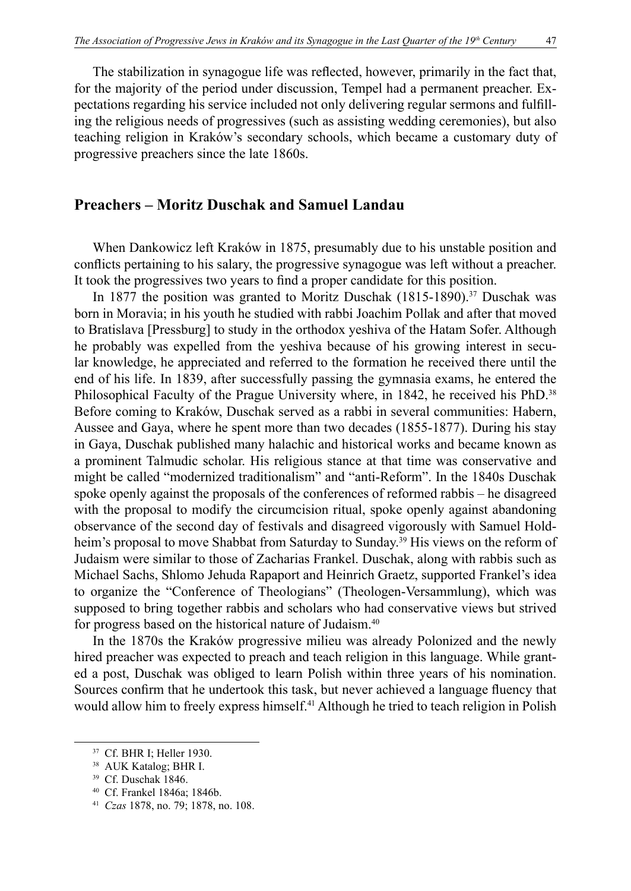The stabilization in synagogue life was reflected, however, primarily in the fact that, for the majority of the period under discussion, Tempel had a permanent preacher. Expectations regarding his service included not only delivering regular sermons and fulfilling the religious needs of progressives (such as assisting wedding ceremonies), but also teaching religion in Kraków's secondary schools, which became a customary duty of progressive preachers since the late 1860s.

## **Preachers – Moritz Duschak and Samuel Landau**

When Dankowicz left Kraków in 1875, presumably due to his unstable position and conflicts pertaining to his salary, the progressive synagogue was left without a preacher. It took the progressives two years to find a proper candidate for this position.

In 1877 the position was granted to Moritz Duschak  $(1815-1890)$ .<sup>37</sup> Duschak was born in Moravia; in his youth he studied with rabbi Joachim Pollak and after that moved to Bratislava [Pressburg] to study in the orthodox yeshiva of the Hatam Sofer. Although he probably was expelled from the yeshiva because of his growing interest in secular knowledge, he appreciated and referred to the formation he received there until the end of his life. In 1839, after successfully passing the gymnasia exams, he entered the Philosophical Faculty of the Prague University where, in 1842, he received his PhD.<sup>38</sup> Before coming to Kraków, Duschak served as a rabbi in several communities: Habern, Aussee and Gaya, where he spent more than two decades (1855-1877). During his stay in Gaya, Duschak published many halachic and historical works and became known as a prominent Talmudic scholar. His religious stance at that time was conservative and might be called "modernized traditionalism" and "anti-Reform". In the 1840s Duschak spoke openly against the proposals of the conferences of reformed rabbis – he disagreed with the proposal to modify the circumcision ritual, spoke openly against abandoning observance of the second day of festivals and disagreed vigorously with Samuel Holdheim's proposal to move Shabbat from Saturday to Sunday.<sup>39</sup> His views on the reform of Judaism were similar to those of Zacharias Frankel. Duschak, along with rabbis such as Michael Sachs, Shlomo Jehuda Rapaport and Heinrich Graetz, supported Frankel's idea to organize the "Conference of Theologians" (Theologen-Versammlung), which was supposed to bring together rabbis and scholars who had conservative views but strived for progress based on the historical nature of Judaism.40

In the 1870s the Kraków progressive milieu was already Polonized and the newly hired preacher was expected to preach and teach religion in this language. While granted a post, Duschak was obliged to learn Polish within three years of his nomination. Sources confirm that he undertook this task, but never achieved a language fluency that would allow him to freely express himself.<sup>41</sup> Although he tried to teach religion in Polish

<sup>37</sup> Cf. BHR I; Heller 1930.

<sup>38</sup> AUK Katalog; BHR I.

<sup>39</sup> Cf. Duschak 1846.

<sup>40</sup> Cf. Frankel 1846a; 1846b.

<sup>41</sup> *Czas* 1878, no. 79; 1878, no. 108.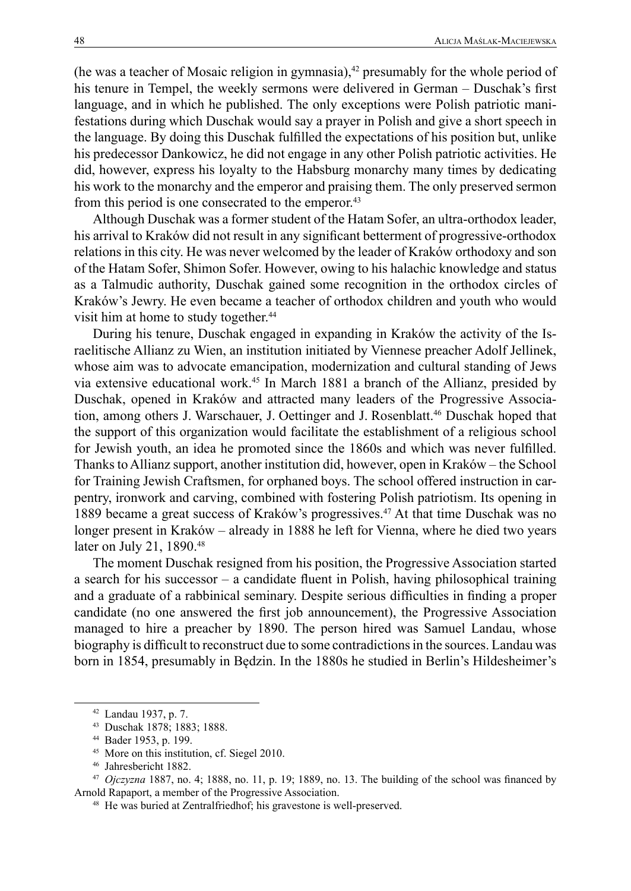(he was a teacher of Mosaic religion in gymnasia), $42$  presumably for the whole period of his tenure in Tempel, the weekly sermons were delivered in German – Duschak's first language, and in which he published. The only exceptions were Polish patriotic manifestations during which Duschak would say a prayer in Polish and give a short speech in the language. By doing this Duschak fulfilled the expectations of his position but, unlike his predecessor Dankowicz, he did not engage in any other Polish patriotic activities. He did, however, express his loyalty to the Habsburg monarchy many times by dedicating his work to the monarchy and the emperor and praising them. The only preserved sermon from this period is one consecrated to the emperor.<sup>43</sup>

Although Duschak was a former student of the Hatam Sofer, an ultra-orthodox leader, his arrival to Kraków did not result in any significant betterment of progressive-orthodox relations in this city. He was never welcomed by the leader of Kraków orthodoxy and son of the Hatam Sofer, Shimon Sofer. However, owing to his halachic knowledge and status as a Talmudic authority, Duschak gained some recognition in the orthodox circles of Kraków's Jewry. He even became a teacher of orthodox children and youth who would visit him at home to study together.<sup>44</sup>

During his tenure, Duschak engaged in expanding in Kraków the activity of the Israelitische Allianz zu Wien, an institution initiated by Viennese preacher Adolf Jellinek, whose aim was to advocate emancipation, modernization and cultural standing of Jews via extensive educational work.45 In March 1881 a branch of the Allianz, presided by Duschak, opened in Kraków and attracted many leaders of the Progressive Association, among others J. Warschauer, J. Oettinger and J. Rosenblatt.<sup>46</sup> Duschak hoped that the support of this organization would facilitate the establishment of a religious school for Jewish youth, an idea he promoted since the 1860s and which was never fulfilled. Thanks to Allianz support, another institution did, however, open in Kraków – the School for Training Jewish Craftsmen, for orphaned boys. The school offered instruction in carpentry, ironwork and carving, combined with fostering Polish patriotism. Its opening in 1889 became a great success of Kraków's progressives.<sup>47</sup> At that time Duschak was no longer present in Kraków – already in 1888 he left for Vienna, where he died two years later on July 21, 1890.<sup>48</sup>

The moment Duschak resigned from his position, the Progressive Association started a search for his successor – a candidate fluent in Polish, having philosophical training and a graduate of a rabbinical seminary. Despite serious difficulties in finding a proper candidate (no one answered the first job announcement), the Progressive Association managed to hire a preacher by 1890. The person hired was Samuel Landau, whose biography is difficult to reconstruct due to some contradictions in the sources. Landau was born in 1854, presumably in Będzin. In the 1880s he studied in Berlin's Hildesheimer's

<sup>42</sup> Landau 1937, p. 7.

<sup>43</sup> Duschak 1878; 1883; 1888.

<sup>44</sup> Bader 1953, p. 199.

<sup>45</sup> More on this institution, cf. Siegel 2010.

<sup>46</sup> Jahresbericht 1882.

<sup>47</sup> *Ojczyzna* 1887, no. 4; 1888, no. 11, p. 19; 1889, no. 13. The building of the school was financed by Arnold Rapaport, a member of the Progressive Association.

<sup>48</sup> He was buried at Zentralfriedhof; his gravestone is well-preserved.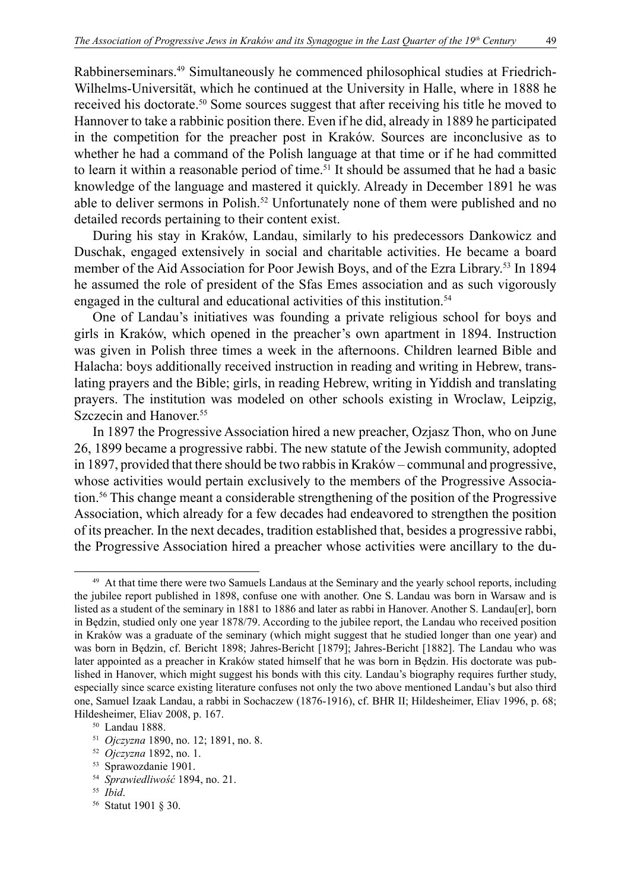Rabbinerseminars.49 Simultaneously he commenced philosophical studies at Friedrich-Wilhelms-Universitӓt, which he continued at the University in Halle, where in 1888 he received his doctorate.50 Some sources suggest that after receiving his title he moved to Hannover to take a rabbinic position there. Even if he did, already in 1889 he participated in the competition for the preacher post in Kraków. Sources are inconclusive as to whether he had a command of the Polish language at that time or if he had committed to learn it within a reasonable period of time.<sup>51</sup> It should be assumed that he had a basic knowledge of the language and mastered it quickly. Already in December 1891 he was able to deliver sermons in Polish.<sup>52</sup> Unfortunately none of them were published and no detailed records pertaining to their content exist.

During his stay in Kraków, Landau, similarly to his predecessors Dankowicz and Duschak, engaged extensively in social and charitable activities. He became a board member of the Aid Association for Poor Jewish Boys, and of the Ezra Library.53 In 1894 he assumed the role of president of the Sfas Emes association and as such vigorously engaged in the cultural and educational activities of this institution.<sup>54</sup>

One of Landau's initiatives was founding a private religious school for boys and girls in Kraków, which opened in the preacher's own apartment in 1894. Instruction was given in Polish three times a week in the afternoons. Children learned Bible and Halacha: boys additionally received instruction in reading and writing in Hebrew, translating prayers and the Bible; girls, in reading Hebrew, writing in Yiddish and translating prayers. The institution was modeled on other schools existing in Wroclaw, Leipzig, Szczecin and Hanover.<sup>55</sup>

In 1897 the Progressive Association hired a new preacher, Ozjasz Thon, who on June 26, 1899 became a progressive rabbi. The new statute of the Jewish community, adopted in 1897, provided that there should be two rabbis in Kraków – communal and progressive, whose activities would pertain exclusively to the members of the Progressive Association.56 This change meant a considerable strengthening of the position of the Progressive Association, which already for a few decades had endeavored to strengthen the position of its preacher. In the next decades, tradition established that, besides a progressive rabbi, the Progressive Association hired a preacher whose activities were ancillary to the du-

<sup>51</sup> *Ojczyzna* 1890, no. 12; 1891, no. 8.

- <sup>55</sup> *Ibid*.
- 56 Statut 1901 § 30.

<sup>&</sup>lt;sup>49</sup> At that time there were two Samuels Landaus at the Seminary and the yearly school reports, including the jubilee report published in 1898, confuse one with another. One S. Landau was born in Warsaw and is listed as a student of the seminary in 1881 to 1886 and later as rabbi in Hanover. Another S. Landau[er], born in Będzin, studied only one year 1878/79. According to the jubilee report, the Landau who received position in Kraków was a graduate of the seminary (which might suggest that he studied longer than one year) and was born in Będzin, cf. Bericht 1898; Jahres-Bericht [1879]; Jahres-Bericht [1882]. The Landau who was later appointed as a preacher in Kraków stated himself that he was born in Będzin. His doctorate was published in Hanover, which might suggest his bonds with this city. Landau's biography requires further study, especially since scarce existing literature confuses not only the two above mentioned Landau's but also third one, Samuel Izaak Landau, a rabbi in Sochaczew (1876-1916), cf. BHR II; Hildesheimer, Eliav 1996, p. 68; Hildesheimer, Eliav 2008, p. 167.

<sup>50</sup> Landau 1888.

<sup>52</sup> *Ojczyzna* 1892, no. 1.

<sup>53</sup> Sprawozdanie 1901.

<sup>54</sup> *Sprawiedliwość* 1894, no. 21.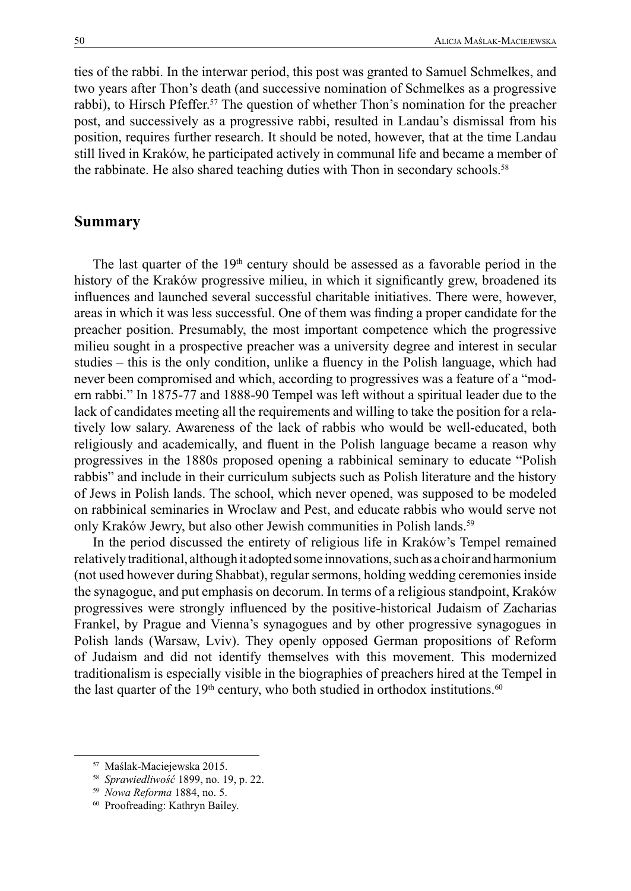ties of the rabbi. In the interwar period, this post was granted to Samuel Schmelkes, and two years after Thon's death (and successive nomination of Schmelkes as a progressive rabbi), to Hirsch Pfeffer.<sup>57</sup> The question of whether Thon's nomination for the preacher post, and successively as a progressive rabbi, resulted in Landau's dismissal from his position, requires further research. It should be noted, however, that at the time Landau still lived in Kraków, he participated actively in communal life and became a member of the rabbinate. He also shared teaching duties with Thon in secondary schools.<sup>58</sup>

### **Summary**

The last quarter of the  $19<sup>th</sup>$  century should be assessed as a favorable period in the history of the Kraków progressive milieu, in which it significantly grew, broadened its influences and launched several successful charitable initiatives. There were, however, areas in which it was less successful. One of them was finding a proper candidate for the preacher position. Presumably, the most important competence which the progressive milieu sought in a prospective preacher was a university degree and interest in secular studies – this is the only condition, unlike a fluency in the Polish language, which had never been compromised and which, according to progressives was a feature of a "modern rabbi." In 1875-77 and 1888-90 Tempel was left without a spiritual leader due to the lack of candidates meeting all the requirements and willing to take the position for a relatively low salary. Awareness of the lack of rabbis who would be well-educated, both religiously and academically, and fluent in the Polish language became a reason why progressives in the 1880s proposed opening a rabbinical seminary to educate "Polish rabbis" and include in their curriculum subjects such as Polish literature and the history of Jews in Polish lands. The school, which never opened, was supposed to be modeled on rabbinical seminaries in Wroclaw and Pest, and educate rabbis who would serve not only Kraków Jewry, but also other Jewish communities in Polish lands.<sup>59</sup>

In the period discussed the entirety of religious life in Kraków's Tempel remained relatively traditional, although it adopted some innovations, such as a choir and harmonium (not used however during Shabbat), regular sermons, holding wedding ceremonies inside the synagogue, and put emphasis on decorum. In terms of a religious standpoint, Kraków progressives were strongly influenced by the positive-historical Judaism of Zacharias Frankel, by Prague and Vienna's synagogues and by other progressive synagogues in Polish lands (Warsaw, Lviv). They openly opposed German propositions of Reform of Judaism and did not identify themselves with this movement. This modernized traditionalism is especially visible in the biographies of preachers hired at the Tempel in the last quarter of the  $19<sup>th</sup>$  century, who both studied in orthodox institutions.<sup>60</sup>

<sup>57</sup> Maślak-Maciejewska 2015.

<sup>58</sup> *Sprawiedliwość* 1899, no. 19, p. 22.

<sup>59</sup> *Nowa Reforma* 1884, no. 5.

<sup>60</sup> Proofreading: Kathryn Bailey.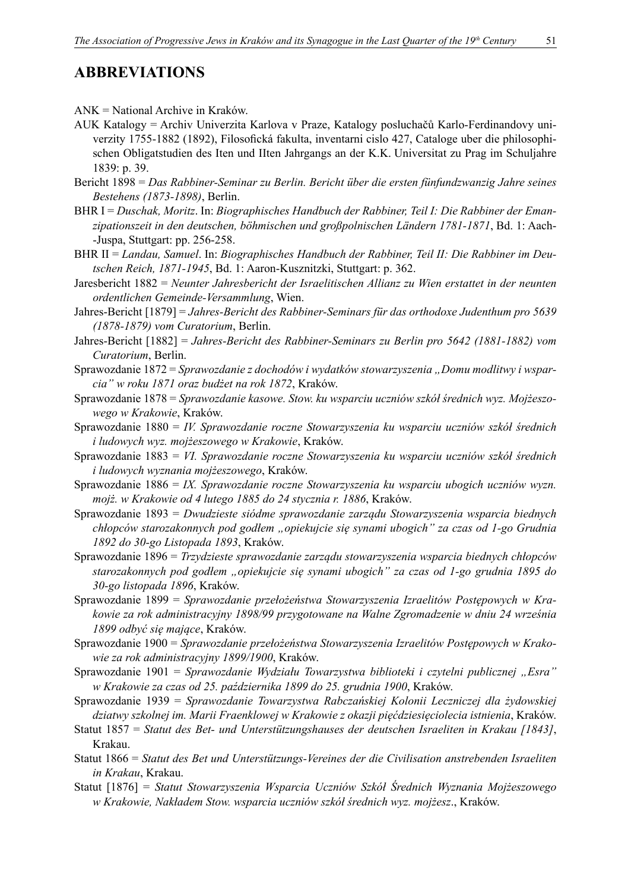## **ABBREVIATIONS**

- AUK Katalogy = Archiv Univerzita Karlova v Praze, Katalogy posluchačů Karlo-Ferdinandovy univerzity 1755-1882 (1892), Filosofická fakulta, inventarni cislo 427, Cataloge uber die philosophischen Obligatstudien des Iten und IIten Jahrgangs an der K.K. Universitat zu Prag im Schuljahre 1839: p. 39.
- Bericht 1898 = *Das Rabbiner-Seminar zu Berlin. Bericht über die ersten fünfundzwanzig Jahre seines Bestehens (1873-1898)*, Berlin.
- BHR I = *Duschak, Moritz*. In: *Biographisches Handbuch der Rabbiner, Teil I: Die Rabbiner der Emanzipationszeit in den deutschen, böhmischen und großpolnischen Ländern 1781-1871*, Bd. 1: Aach- -Juspa, Stuttgart: pp. 256-258.
- BHR II = *Landau, Samuel*. In: *Biographisches Handbuch der Rabbiner, Teil II: Die Rabbiner im Deutschen Reich, 1871-1945*, Bd. 1: Aaron-Kusznitzki, Stuttgart: p. 362.
- Jaresbericht 1882 = *Neunter Jahresbericht der Israelitischen Allianz zu Wien erstattet in der neunten ordentlichen Gemeinde-Versammlung*, Wien.
- Jahres-Bericht [1879] = *Jahres-Bericht des Rabbiner-Seminars für das orthodoxe Judenthum pro 5639 (1878-1879) vom Curatorium*, Berlin.
- Jahres-Bericht [1882] = *Jahres-Bericht des Rabbiner-Seminars zu Berlin pro 5642 (1881-1882) vom Curatorium*, Berlin.
- Sprawozdanie 1872 = *Sprawozdanie z dochodów i wydatków stowarzyszenia "Domu modlitwy i wsparcia" w roku 1871 oraz budżet na rok 1872*, Kraków.
- Sprawozdanie 1878 = *Sprawozdanie kasowe. Stow. ku wsparciu uczniów szkół średnich wyz. Mojżeszowego w Krakowie*, Kraków.
- Sprawozdanie 1880 = *IV. Sprawozdanie roczne Stowarzyszenia ku wsparciu uczniów szkół średnich i ludowych wyz. mojżeszowego w Krakowie*, Kraków.
- Sprawozdanie 1883 = *VI. Sprawozdanie roczne Stowarzyszenia ku wsparciu uczniów szkół średnich i ludowych wyznania mojżeszowego*, Kraków.
- Sprawozdanie 1886 = *IX. Sprawozdanie roczne Stowarzyszenia ku wsparciu ubogich uczniów wyzn. mojż. w Krakowie od 4 lutego 1885 do 24 stycznia r. 1886*, Kraków.
- Sprawozdanie 1893 = *Dwudzieste siódme sprawozdanie zarządu Stowarzyszenia wsparcia biednych chłopców starozakonnych pod godłem "opiekujcie się synami ubogich" za czas od 1-go Grudnia 1892 do 30-go Listopada 1893*, Kraków.
- Sprawozdanie 1896 = *Trzydzieste sprawozdanie zarządu stowarzyszenia wsparcia biednych chłopców starozakonnych pod godłem "opiekujcie się synami ubogich" za czas od 1-go grudnia 1895 do 30-go listopada 1896*, Kraków.
- Sprawozdanie 1899 = *Sprawozdanie przełożeństwa Stowarzyszenia Izraelitów Postępowych w Krakowie za rok administracyjny 1898/99 przygotowane na Walne Zgromadzenie w dniu 24 września 1899 odbyć się mające*, Kraków.
- Sprawozdanie 1900 = *Sprawozdanie przełożeństwa Stowarzyszenia Izraelitów Postępowych w Krakowie za rok administracyjny 1899/1900*, Kraków.
- Sprawozdanie 1901 = *Sprawozdanie Wydziału Towarzystwa biblioteki i czytelni publicznej "Esra" w Krakowie za czas od 25. października 1899 do 25. grudnia 1900*, Kraków.
- Sprawozdanie 1939 = *Sprawozdanie Towarzystwa Rabczańskiej Kolonii Leczniczej dla żydowskiej dziatwy szkolnej im. Marii Fraenklowej w Krakowie z okazji pięćdziesięciolecia istnienia*, Kraków.
- Statut 1857 = *Statut des Bet- und Unterstützungshauses der deutschen Israeliten in Krakau [1843]*, Krakau.
- Statut 1866 = *Statut des Bet und Unterstützungs-Vereines der die Civilisation anstrebenden Israeliten in Krakau*, Krakau.
- Statut [1876] = *Statut Stowarzyszenia Wsparcia Uczniów Szkół Średnich Wyznania Mojżeszowego w Krakowie, Nakładem Stow. wsparcia uczniów szkół średnich wyz. mojżesz*., Kraków.

ANK = National Archive in Kraków.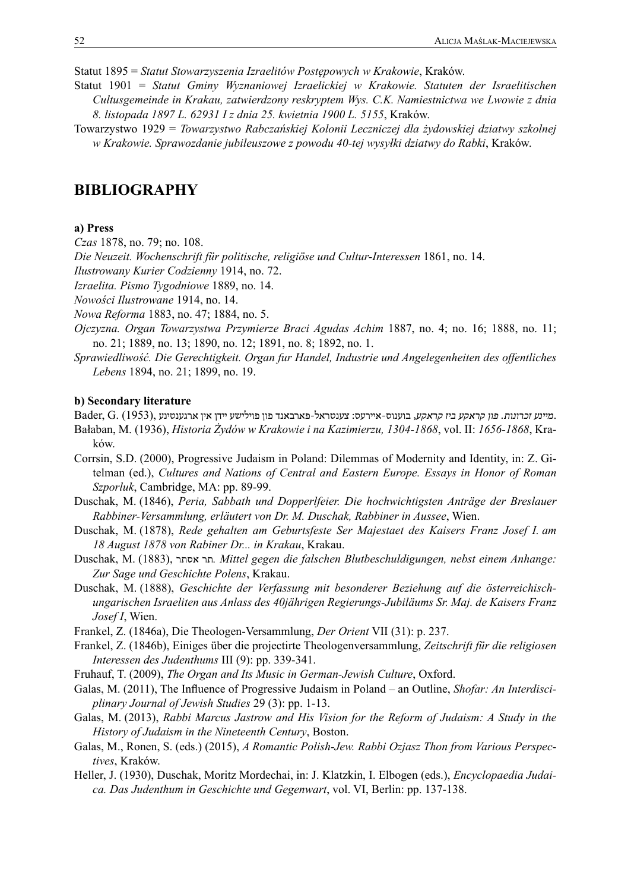Statut 1895 = *Statut Stowarzyszenia Izraelitów Postępowych w Krakowie*, Kraków.

- Statut 1901 = *Statut Gminy Wyznaniowej Izraelickiej w Krakowie. Statuten der Israelitischen Cultusgemeinde in Krakau, zatwierdzony reskryptem Wys. C.K. Namiestnictwa we Lwowie z dnia 8. listopada 1897 L. 62931 I z dnia 25. kwietnia 1900 L. 5155*, Kraków.
- Towarzystwo 1929 = *Towarzystwo Rabczańskiej Kolonii Leczniczej dla żydowskiej dziatwy szkolnej w Krakowie. Sprawozdanie jubileuszowe z powodu 40-tej wysyłki dziatwy do Rabki*, Kraków.

## **BIBLIOGRAPHY**

#### **a) Press**

*Czas* 1878, no. 79; no. 108.

*Die Neuzeit. Wochenschrift für politische, religiöse und Cultur-Interessen* 1861, no. 14.

*Ilustrowany Kurier Codzienny* 1914, no. 72.

*Izraelita. Pismo Tygodniowe* 1889, no. 14.

*Nowości Ilustrowane* 1914, no. 14.

- *Nowa Reforma* 1883, no. 47; 1884, no. 5.
- *Ojczyzna. Organ Towarzystwa Przymierze Braci Agudas Achim* 1887, no. 4; no. 16; 1888, no. 11; no. 21; 1889, no. 13; 1890, no. 12; 1891, no. 8; 1892, no. 1.
- *Sprawiedliwość. Die Gerechtigkeit. Organ fur Handel, Industrie und Angelegenheiten des offentliches Lebens* 1894, no. 21; 1899, no. 19.

#### **b) Secondary literature**

.*מיינע זכרונות. פון קראקע ביז קראקע*, בוענוס-איירעס: צענטראל-פארבאנד פון פוילישע יידן אין ארגענטינע ,(1953) .G ,Bader

- Bałaban, M. (1936), *Historia Żydów w Krakowie i na Kazimierzu, 1304-1868*, vol. II: *1656-1868*, Kraków.
- Corrsin, S.D. (2000), Progressive Judaism in Poland: Dilemmas of Modernity and Identity, in: Z. Gitelman (ed.), *Cultures and Nations of Central and Eastern Europe. Essays in Honor of Roman Szporluk*, Cambridge, MA: pp. 89-99.
- Duschak, M. (1846), *Peria, Sabbath und Dopperlfeier. Die hochwichtigsten Anträge der Breslauer Rabbiner-Versammlung, erläutert von Dr. M. Duschak, Rabbiner in Aussee*, Wien.
- Duschak, M. (1878), *Rede gehalten am Geburtsfeste Ser Majestaet des Kaisers Franz Josef I. am 18 August 1878 von Rabiner Dr... in Krakau*, Krakau.
- Duschak, M. (1883), אסתר תר*. Mittel gegen die falschen Blutbeschuldigungen, nebst einem Anhange: Zur Sage und Geschichte Polens*, Krakau.
- Duschak, M. (1888), *Geschichte der Verfassung mit besonderer Beziehung auf die österreichischungarischen Israeliten aus Anlass des 40jährigen Regierungs-Jubiläums Sr. Maj. de Kaisers Franz Josef I*, Wien.
- Frankel, Z. (1846a), Die Theologen-Versammlung, *Der Orient* VII (31): p. 237.
- Frankel, Z. (1846b), Einiges über die projectirte Theologenversammlung, *Zeitschrift für die religiosen Interessen des Judenthums* III (9): pp. 339-341.
- Fruhauf, T. (2009), *The Organ and Its Music in German-Jewish Culture*, Oxford.
- Galas, M. (2011), The Influence of Progressive Judaism in Poland an Outline, *Shofar: An Interdisciplinary Journal of Jewish Studies* 29 (3): pp. 1-13.
- Galas, M. (2013), *Rabbi Marcus Jastrow and His Vision for the Reform of Judaism: A Study in the History of Judaism in the Nineteenth Century*, Boston.
- Galas, M., Ronen, S. (eds.) (2015), *A Romantic Polish-Jew. Rabbi Ozjasz Thon from Various Perspectives*, Kraków.
- Heller, J. (1930), Duschak, Moritz Mordechai, in: J. Klatzkin, I. Elbogen (eds.), *Encyclopaedia Judaica. Das Judenthum in Geschichte und Gegenwart*, vol. VI, Berlin: pp. 137-138.